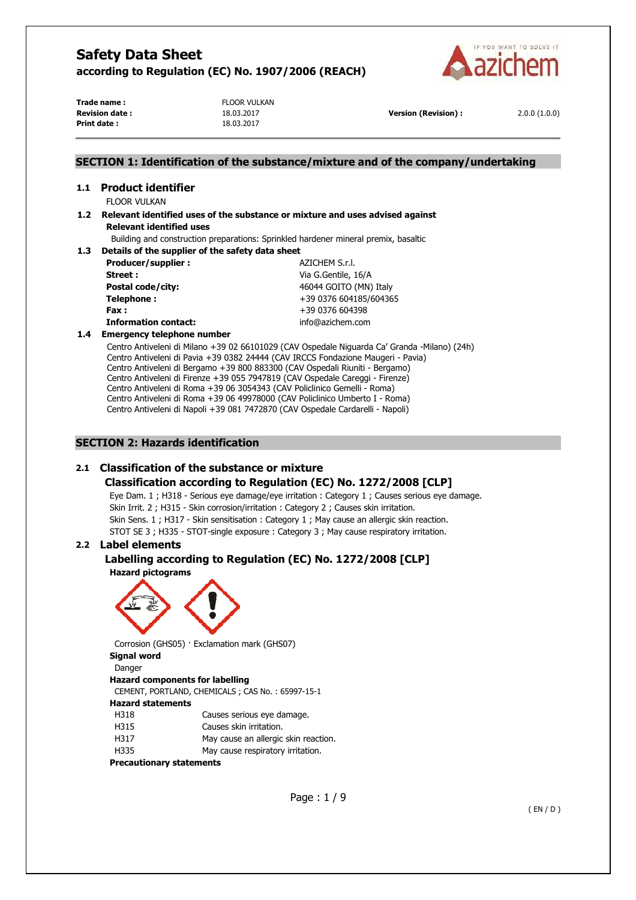

**Trade name :** FLOOR VULKAN **Print date :** 18.03.2017

**Revision date :** 18.03.2017 **Version (Revision) :** 2.0.0 (1.0.0)

## **SECTION 1: Identification of the substance/mixture and of the company/undertaking**

# **1.1 Product identifier**

FLOOR VULKAN

## **1.2 Relevant identified uses of the substance or mixture and uses advised against Relevant identified uses**

Building and construction preparations: Sprinkled hardener mineral premix, basaltic

#### **1.3 Details of the supplier of the safety data sheet**

| Producer/supplier:    |
|-----------------------|
| Street:               |
| Postal code/city:     |
| Telephone:            |
| Fax :                 |
| Tefavorskian cantactu |

**Producer/supplier :** AZICHEM S.r.l. **Street :** Via G.Gentile, 16/A **Postal code/city:** 46044 GOITO (MN) Italy **Telephone :** +39 0376 604185/604365 **Fax :** +39 0376 604398 **Information contact:** info@azichem.com

### **1.4 Emergency telephone number**

Centro Antiveleni di Milano +39 02 66101029 (CAV Ospedale Niguarda Ca' Granda -Milano) (24h) Centro Antiveleni di Pavia +39 0382 24444 (CAV IRCCS Fondazione Maugeri - Pavia) Centro Antiveleni di Bergamo +39 800 883300 (CAV Ospedali Riuniti - Bergamo) Centro Antiveleni di Firenze +39 055 7947819 (CAV Ospedale Careggi - Firenze) Centro Antiveleni di Roma +39 06 3054343 (CAV Policlinico Gemelli - Roma) Centro Antiveleni di Roma +39 06 49978000 (CAV Policlinico Umberto I - Roma) Centro Antiveleni di Napoli +39 081 7472870 (CAV Ospedale Cardarelli - Napoli)

## **SECTION 2: Hazards identification**

# **2.1 Classification of the substance or mixture**

## **Classification according to Regulation (EC) No. 1272/2008 [CLP]**

Eye Dam. 1 ; H318 - Serious eye damage/eye irritation : Category 1 ; Causes serious eye damage. Skin Irrit. 2 ; H315 - Skin corrosion/irritation : Category 2 ; Causes skin irritation. Skin Sens. 1 ; H317 - Skin sensitisation : Category 1 ; May cause an allergic skin reaction. STOT SE 3 ; H335 - STOT-single exposure : Category 3 ; May cause respiratory irritation.

## **2.2 Label elements**

## **Labelling according to Regulation (EC) No. 1272/2008 [CLP]**

**Hazard pictograms** 



Corrosion (GHS05) · Exclamation mark (GHS07) **Signal word** 

## Danger

## **Hazard components for labelling**

CEMENT, PORTLAND, CHEMICALS ; CAS No. : 65997-15-1

# **Hazard statements**

- H318 Causes serious eye damage.
- H315 Causes skin irritation.
- H317 May cause an allergic skin reaction.
- H335 May cause respiratory irritation.

### **Precautionary statements**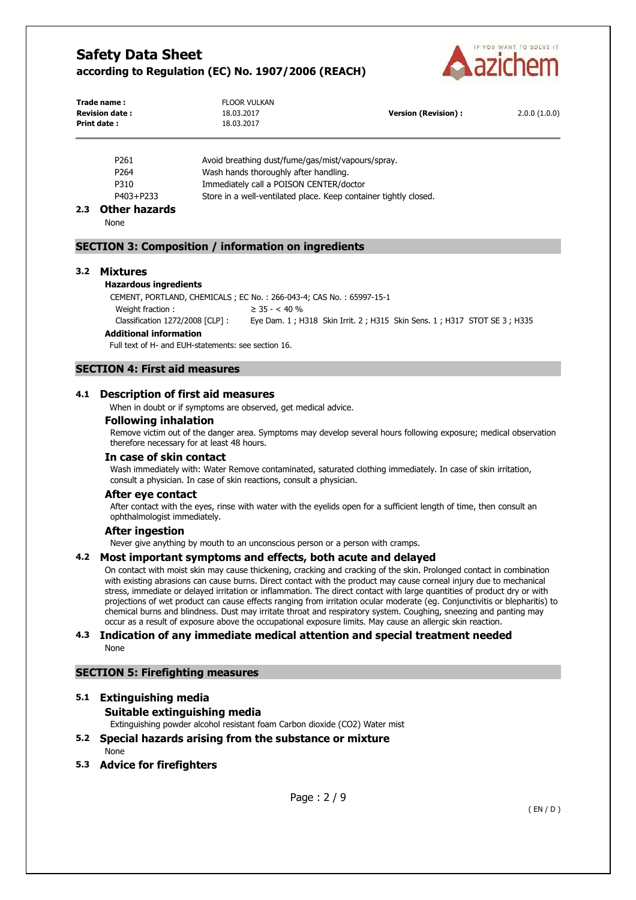

| Trade name:<br><b>Revision date:</b><br><b>Print date:</b> | <b>FLOOR VULKAN</b><br>18.03.2017<br>18.03.2017 | Version (Revision) : | 2.0.0(1.0.0) |
|------------------------------------------------------------|-------------------------------------------------|----------------------|--------------|
|                                                            |                                                 |                      |              |

| P <sub>261</sub> | Avoid breathing dust/fume/gas/mist/vapours/spray.                |
|------------------|------------------------------------------------------------------|
| P <sub>264</sub> | Wash hands thoroughly after handling.                            |
| P310             | Immediately call a POISON CENTER/doctor                          |
| P403+P233        | Store in a well-ventilated place. Keep container tightly closed. |

## **2.3 Other hazards**

None

## **SECTION 3: Composition / information on ingredients**

#### **3.2 Mixtures**

#### **Hazardous ingredients**

CEMENT, PORTLAND, CHEMICALS ; EC No. : 266-043-4; CAS No. : 65997-15-1 Weight fraction :  $\geq 35 - < 40\%$ Classification 1272/2008 [CLP] : Eye Dam. 1 ; H318 Skin Irrit. 2 ; H315 Skin Sens. 1 ; H317 STOT SE 3 ; H335

## **Additional information**

Full text of H- and EUH-statements: see section 16.

## **SECTION 4: First aid measures**

#### **4.1 Description of first aid measures**

When in doubt or if symptoms are observed, get medical advice.

### **Following inhalation**

Remove victim out of the danger area. Symptoms may develop several hours following exposure; medical observation therefore necessary for at least 48 hours.

#### **In case of skin contact**

Wash immediately with: Water Remove contaminated, saturated clothing immediately. In case of skin irritation, consult a physician. In case of skin reactions, consult a physician.

#### **After eye contact**

After contact with the eyes, rinse with water with the eyelids open for a sufficient length of time, then consult an ophthalmologist immediately.

#### **After ingestion**

Never give anything by mouth to an unconscious person or a person with cramps.

#### **4.2 Most important symptoms and effects, both acute and delayed**

On contact with moist skin may cause thickening, cracking and cracking of the skin. Prolonged contact in combination with existing abrasions can cause burns. Direct contact with the product may cause corneal injury due to mechanical stress, immediate or delayed irritation or inflammation. The direct contact with large quantities of product dry or with projections of wet product can cause effects ranging from irritation ocular moderate (eg. Conjunctivitis or blepharitis) to chemical burns and blindness. Dust may irritate throat and respiratory system. Coughing, sneezing and panting may occur as a result of exposure above the occupational exposure limits. May cause an allergic skin reaction.

#### **4.3 Indication of any immediate medical attention and special treatment needed**  None

### **SECTION 5: Firefighting measures**

# **5.1 Extinguishing media**

## **Suitable extinguishing media**

Extinguishing powder alcohol resistant foam Carbon dioxide (CO2) Water mist

## **5.2 Special hazards arising from the substance or mixture**

None

**5.3 Advice for firefighters**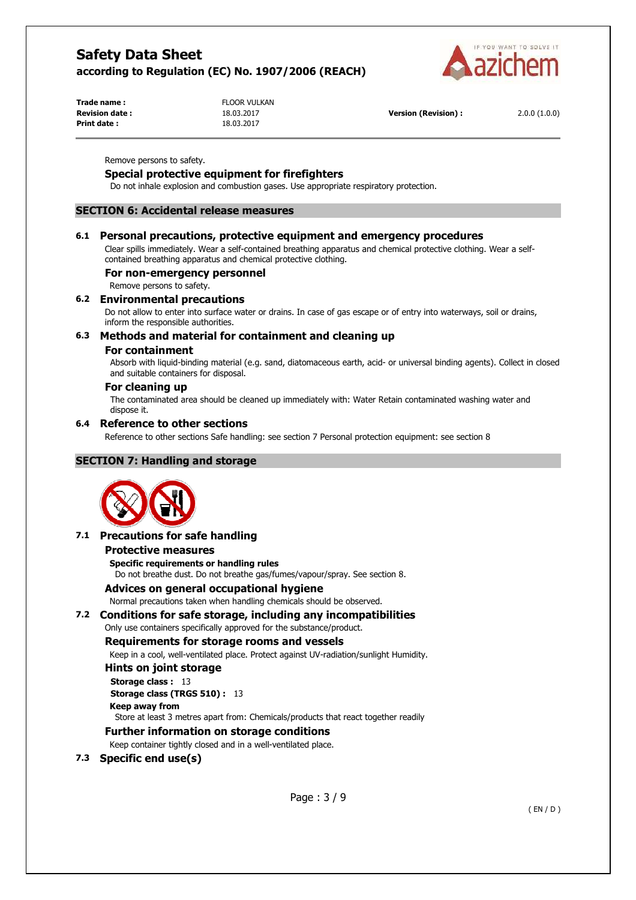

**Trade name :** FLOOR VULKAN **Revision date :** 18.03.2017 **Version (Revision) :** 2.0.0 (1.0.0) **Print date :** 18.03.2017

Remove persons to safety.

## **Special protective equipment for firefighters**

Do not inhale explosion and combustion gases. Use appropriate respiratory protection.

## **SECTION 6: Accidental release measures**

## **6.1 Personal precautions, protective equipment and emergency procedures**

Clear spills immediately. Wear a self-contained breathing apparatus and chemical protective clothing. Wear a selfcontained breathing apparatus and chemical protective clothing.

#### **For non-emergency personnel**

Remove persons to safety.

## **6.2 Environmental precautions**

Do not allow to enter into surface water or drains. In case of gas escape or of entry into waterways, soil or drains, inform the responsible authorities.

## **6.3 Methods and material for containment and cleaning up**

#### **For containment**

Absorb with liquid-binding material (e.g. sand, diatomaceous earth, acid- or universal binding agents). Collect in closed and suitable containers for disposal.

## **For cleaning up**

The contaminated area should be cleaned up immediately with: Water Retain contaminated washing water and dispose it.

## **6.4 Reference to other sections**

Reference to other sections Safe handling: see section 7 Personal protection equipment: see section 8

## **SECTION 7: Handling and storage**



## **7.1 Precautions for safe handling**

#### **Protective measures**

**Specific requirements or handling rules** 

Do not breathe dust. Do not breathe gas/fumes/vapour/spray. See section 8.

#### **Advices on general occupational hygiene**

Normal precautions taken when handling chemicals should be observed.

## **7.2 Conditions for safe storage, including any incompatibilities**

## Only use containers specifically approved for the substance/product.

## **Requirements for storage rooms and vessels**

Keep in a cool, well-ventilated place. Protect against UV-radiation/sunlight Humidity.

## **Hints on joint storage**

**Storage class : 13 Storage class (TRGS 510) :** 13

**Keep away from** 

Store at least 3 metres apart from: Chemicals/products that react together readily

# **Further information on storage conditions**

Keep container tightly closed and in a well-ventilated place.

**7.3 Specific end use(s)**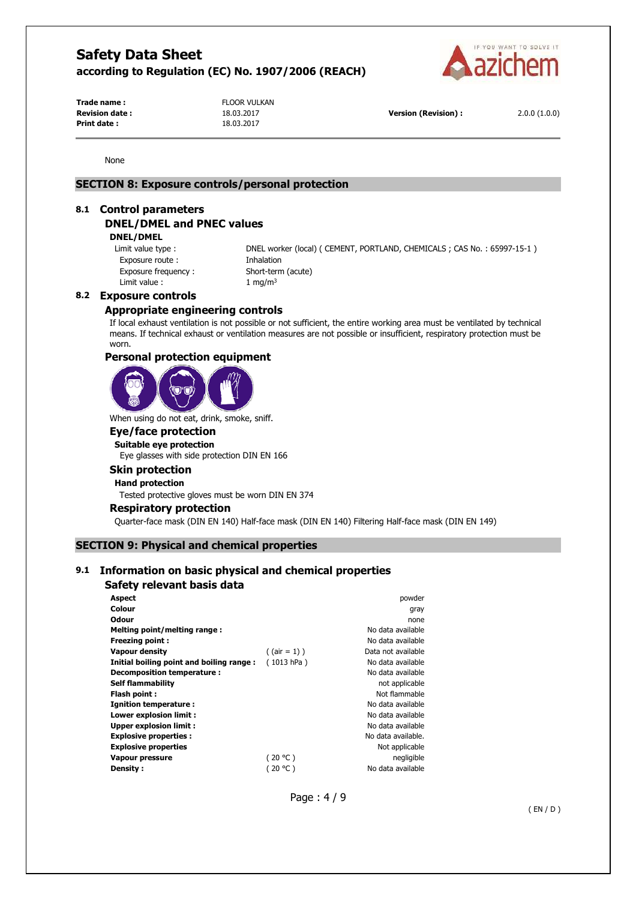

**Trade name :** FLOOR VULKAN **Print date :** 18.03.2017

**Revision date :** 18.03.2017 **Version (Revision) :** 2.0.0 (1.0.0)

None

## **SECTION 8: Exposure controls/personal protection**

#### **8.1 Control parameters**

## **DNEL/DMEL and PNEC values**

**DNEL/DMEL** 

Exposure route : Thhalation Exposure frequency : Short-term (acute) Limit value :  $1 \text{ mg/m}^3$ 

Limit value type : DNEL worker (local) ( CEMENT, PORTLAND, CHEMICALS ; CAS No. : 65997-15-1 )

## **8.2 Exposure controls**

## **Appropriate engineering controls**

If local exhaust ventilation is not possible or not sufficient, the entire working area must be ventilated by technical means. If technical exhaust or ventilation measures are not possible or insufficient, respiratory protection must be worn.

### **Personal protection equipment**



When using do not eat, drink, smoke, sniff.

## **Eye/face protection**

**Suitable eye protection**  Eye glasses with side protection DIN EN 166

#### **Skin protection**

**Hand protection** 

Tested protective gloves must be worn DIN EN 374

#### **Respiratory protection**

Quarter-face mask (DIN EN 140) Half-face mask (DIN EN 140) Filtering Half-face mask (DIN EN 149)

## **SECTION 9: Physical and chemical properties**

## **9.1 Information on basic physical and chemical properties**

## **Safety relevant basis data**

| <b>Aspect</b>                            |                 | powder             |
|------------------------------------------|-----------------|--------------------|
| Colour                                   |                 | gray               |
| Odour                                    |                 | none               |
| Melting point/melting range:             |                 | No data available  |
| <b>Freezing point:</b>                   |                 | No data available  |
| <b>Vapour density</b>                    | $($ (air = 1) ) | Data not available |
| Initial boiling point and boiling range: | (1013 hPa)      | No data available  |
| Decomposition temperature :              |                 | No data available  |
| <b>Self flammability</b>                 |                 | not applicable     |
| Flash point:                             |                 | Not flammable      |
| Ignition temperature:                    |                 | No data available  |
| Lower explosion limit :                  |                 | No data available  |
| Upper explosion limit:                   |                 | No data available  |
| <b>Explosive properties:</b>             |                 | No data available. |
| <b>Explosive properties</b>              |                 | Not applicable     |
| Vapour pressure                          | (20 °C)         | negligible         |
| Density:                                 | (20 °C )        | No data available  |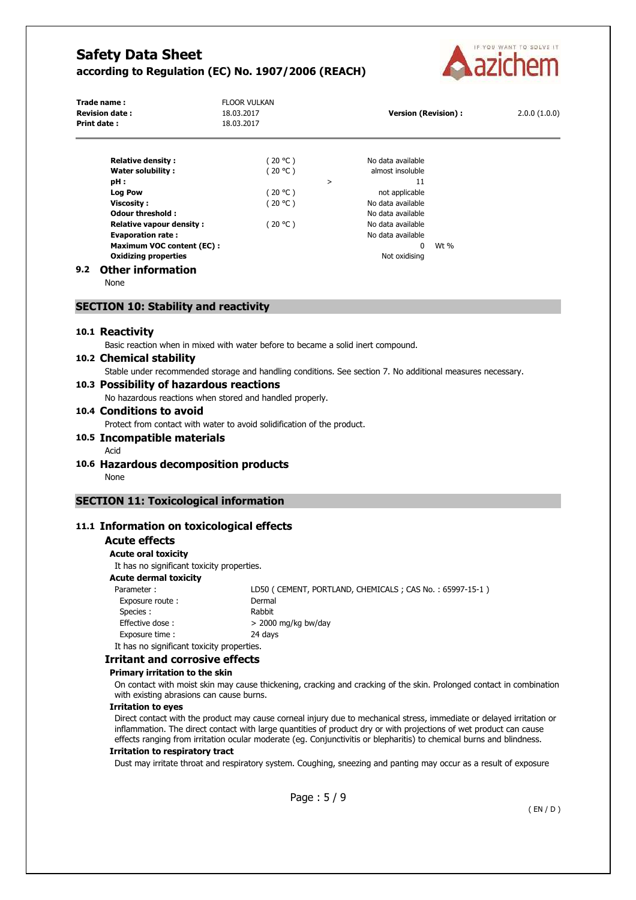

| Trade name:<br><b>Revision date:</b><br>Print date:                                                                     | <b>FLOOR VULKAN</b><br>18.03.2017<br>18.03.2017 |   | <b>Version (Revision):</b>                                   |      | 2.0.0(1.0.0) |
|-------------------------------------------------------------------------------------------------------------------------|-------------------------------------------------|---|--------------------------------------------------------------|------|--------------|
| <b>Relative density:</b><br><b>Water solubility:</b><br>pH:                                                             | (20 °C )<br>(20 °C )                            | > | No data available<br>almost insoluble<br>11                  |      |              |
| <b>Log Pow</b><br>Viscosity:<br><b>Odour threshold:</b>                                                                 | (20 °C )<br>(20 °C )                            |   | not applicable<br>No data available<br>No data available     |      |              |
| <b>Relative vapour density:</b><br><b>Evaporation rate:</b><br>Maximum VOC content (EC):<br><b>Oxidizing properties</b> | (20 °C )                                        |   | No data available<br>No data available<br>0<br>Not oxidising | Wt % |              |
| <b>Other information</b><br>9.2                                                                                         |                                                 |   |                                                              |      |              |

None

### **SECTION 10: Stability and reactivity**

#### **10.1 Reactivity**

Basic reaction when in mixed with water before to became a solid inert compound.

## **10.2 Chemical stability**

Stable under recommended storage and handling conditions. See section 7. No additional measures necessary.

## **10.3 Possibility of hazardous reactions**

No hazardous reactions when stored and handled properly.

#### **10.4 Conditions to avoid**

Protect from contact with water to avoid solidification of the product.

#### **10.5 Incompatible materials**

#### Acid

- **10.6 Hazardous decomposition products** 
	- None

## **SECTION 11: Toxicological information**

## **11.1 Information on toxicological effects**

# **Acute effects**

**Acute oral toxicity** 

It has no significant toxicity properties.

# **Acute dermal toxicity**

| Parameter:                                | LD50 (CEMENT, PORTLAND, CHEMICALS; CAS No.: 65997-15-1) |
|-------------------------------------------|---------------------------------------------------------|
| Exposure route:                           | Dermal                                                  |
| Species :                                 | Rabbit                                                  |
| Effective dose:                           | $>$ 2000 mg/kg bw/day                                   |
| Exposure time:                            | 24 days                                                 |
| It has no significant toxicity properties |                                                         |

# It has no significant toxicity properties

# **Irritant and corrosive effects**

# **Primary irritation to the skin**

On contact with moist skin may cause thickening, cracking and cracking of the skin. Prolonged contact in combination with existing abrasions can cause burns.

#### **Irritation to eyes**

Direct contact with the product may cause corneal injury due to mechanical stress, immediate or delayed irritation or inflammation. The direct contact with large quantities of product dry or with projections of wet product can cause effects ranging from irritation ocular moderate (eg. Conjunctivitis or blepharitis) to chemical burns and blindness.

#### **Irritation to respiratory tract**

Dust may irritate throat and respiratory system. Coughing, sneezing and panting may occur as a result of exposure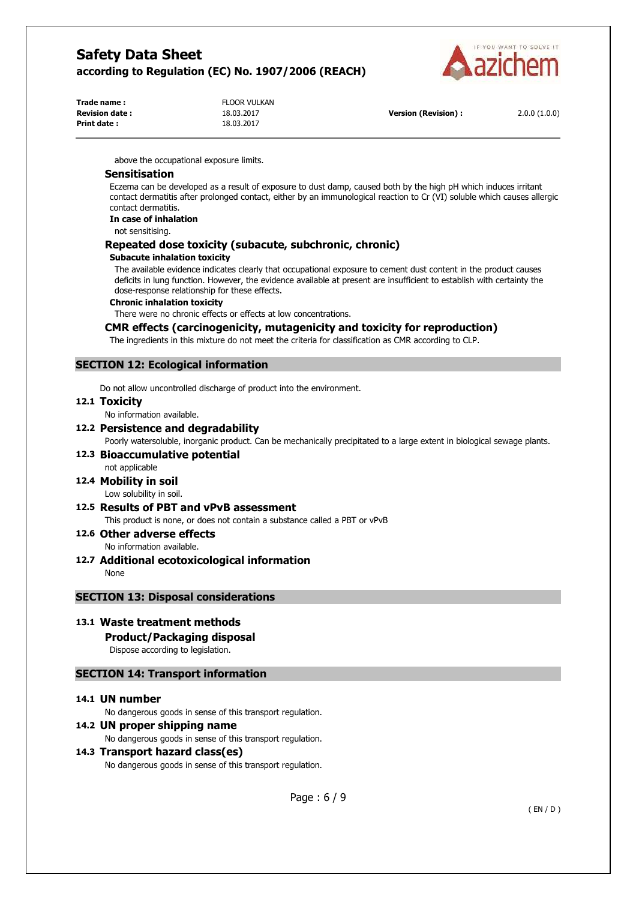

| Trade name :          | <b>FLOOR VULKAN</b> |
|-----------------------|---------------------|
| <b>Revision date:</b> | 18.03.2017          |
| Print date :          | 18.03.2017          |

**Version (Revision) :** 2.0.0 (1.0.0)

above the occupational exposure limits.

### **Sensitisation**

Eczema can be developed as a result of exposure to dust damp, caused both by the high pH which induces irritant contact dermatitis after prolonged contact, either by an immunological reaction to Cr (VI) soluble which causes allergic contact dermatitis.

#### **In case of inhalation**

not sensitising.

#### **Repeated dose toxicity (subacute, subchronic, chronic)**

#### **Subacute inhalation toxicity**

The available evidence indicates clearly that occupational exposure to cement dust content in the product causes deficits in lung function. However, the evidence available at present are insufficient to establish with certainty the dose-response relationship for these effects.

#### **Chronic inhalation toxicity**

There were no chronic effects or effects at low concentrations.

## **CMR effects (carcinogenicity, mutagenicity and toxicity for reproduction)**

The ingredients in this mixture do not meet the criteria for classification as CMR according to CLP.

## **SECTION 12: Ecological information**

Do not allow uncontrolled discharge of product into the environment.

#### **12.1 Toxicity**

No information available.

### **12.2 Persistence and degradability**

Poorly watersoluble, inorganic product. Can be mechanically precipitated to a large extent in biological sewage plants.

**12.3 Bioaccumulative potential**  not applicable

## **12.4 Mobility in soil**

Low solubility in soil.

#### **12.5 Results of PBT and vPvB assessment**

This product is none, or does not contain a substance called a PBT or vPvB

#### **12.6 Other adverse effects**  No information available.

**12.7 Additional ecotoxicological information** 

None

## **SECTION 13: Disposal considerations**

## **13.1 Waste treatment methods**

**Product/Packaging disposal** 

Dispose according to legislation.

# **SECTION 14: Transport information**

#### **14.1 UN number**

No dangerous goods in sense of this transport regulation.

#### **14.2 UN proper shipping name**

No dangerous goods in sense of this transport regulation.

#### **14.3 Transport hazard class(es)**

No dangerous goods in sense of this transport regulation.

Page : 6 / 9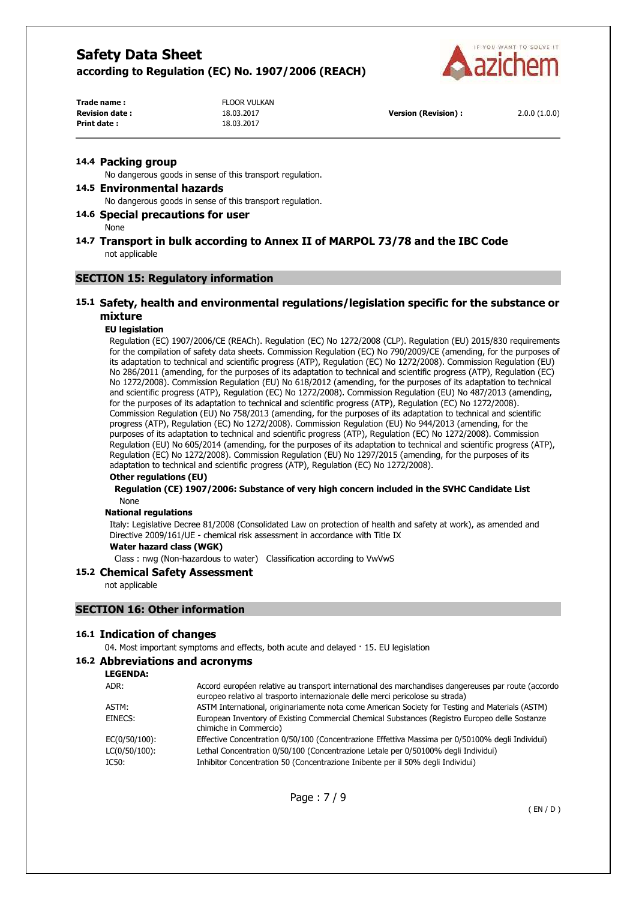

| Trade name :          | <b>FLOOR VULKAN</b> |
|-----------------------|---------------------|
| <b>Revision date:</b> | 18.03.2017          |
| Print date:           | 18.03.2017          |

**Revision date :** 18.03.2017 **Version (Revision) :** 2.0.0 (1.0.0)

#### **14.4 Packing group**

No dangerous goods in sense of this transport regulation.

#### **14.5 Environmental hazards**

No dangerous goods in sense of this transport regulation.

## **14.6 Special precautions for user**

None

## **14.7 Transport in bulk according to Annex II of MARPOL 73/78 and the IBC Code**  not applicable

## **SECTION 15: Regulatory information**

## **15.1 Safety, health and environmental regulations/legislation specific for the substance or mixture**

#### **EU legislation**

Regulation (EC) 1907/2006/CE (REACh). Regulation (EC) No 1272/2008 (CLP). Regulation (EU) 2015/830 requirements for the compilation of safety data sheets. Commission Regulation (EC) No 790/2009/CE (amending, for the purposes of its adaptation to technical and scientific progress (ATP), Regulation (EC) No 1272/2008). Commission Regulation (EU) No 286/2011 (amending, for the purposes of its adaptation to technical and scientific progress (ATP), Regulation (EC) No 1272/2008). Commission Regulation (EU) No 618/2012 (amending, for the purposes of its adaptation to technical and scientific progress (ATP), Regulation (EC) No 1272/2008). Commission Regulation (EU) No 487/2013 (amending, for the purposes of its adaptation to technical and scientific progress (ATP), Regulation (EC) No 1272/2008). Commission Regulation (EU) No 758/2013 (amending, for the purposes of its adaptation to technical and scientific progress (ATP), Regulation (EC) No 1272/2008). Commission Regulation (EU) No 944/2013 (amending, for the purposes of its adaptation to technical and scientific progress (ATP), Regulation (EC) No 1272/2008). Commission Regulation (EU) No 605/2014 (amending, for the purposes of its adaptation to technical and scientific progress (ATP), Regulation (EC) No 1272/2008). Commission Regulation (EU) No 1297/2015 (amending, for the purposes of its adaptation to technical and scientific progress (ATP), Regulation (EC) No 1272/2008).

#### **Other regulations (EU)**

**Regulation (CE) 1907/2006: Substance of very high concern included in the SVHC Candidate List**  None

#### **National regulations**

Italy: Legislative Decree 81/2008 (Consolidated Law on protection of health and safety at work), as amended and Directive 2009/161/UE - chemical risk assessment in accordance with Title IX

## **Water hazard class (WGK)**

Class : nwg (Non-hazardous to water) Classification according to VwVwS

#### **15.2 Chemical Safety Assessment**

not applicable

#### **SECTION 16: Other information**

#### **16.1 Indication of changes**

04. Most important symptoms and effects, both acute and delayed · 15. EU legislation

## **16.2 Abbreviations and acronyms**

| <b>LEGENDA:</b>  |                                                                                                                                                                                       |
|------------------|---------------------------------------------------------------------------------------------------------------------------------------------------------------------------------------|
| ADR:             | Accord européen relative au transport international des marchandises dangereuses par route (accordo<br>europeo relativo al trasporto internazionale delle merci pericolose su strada) |
| ASTM:            | ASTM International, originariamente nota come American Society for Testing and Materials (ASTM)                                                                                       |
| EINECS:          | European Inventory of Existing Commercial Chemical Substances (Registro Europeo delle Sostanze<br>chimiche in Commercio)                                                              |
| EC(0/50/100):    | Effective Concentration 0/50/100 (Concentrazione Effettiva Massima per 0/50100% degli Individui)                                                                                      |
| $LC(0/50/100)$ : | Lethal Concentration 0/50/100 (Concentrazione Letale per 0/50100% degli Individui)                                                                                                    |
| IC50:            | Inhibitor Concentration 50 (Concentrazione Inibente per il 50% degli Individui)                                                                                                       |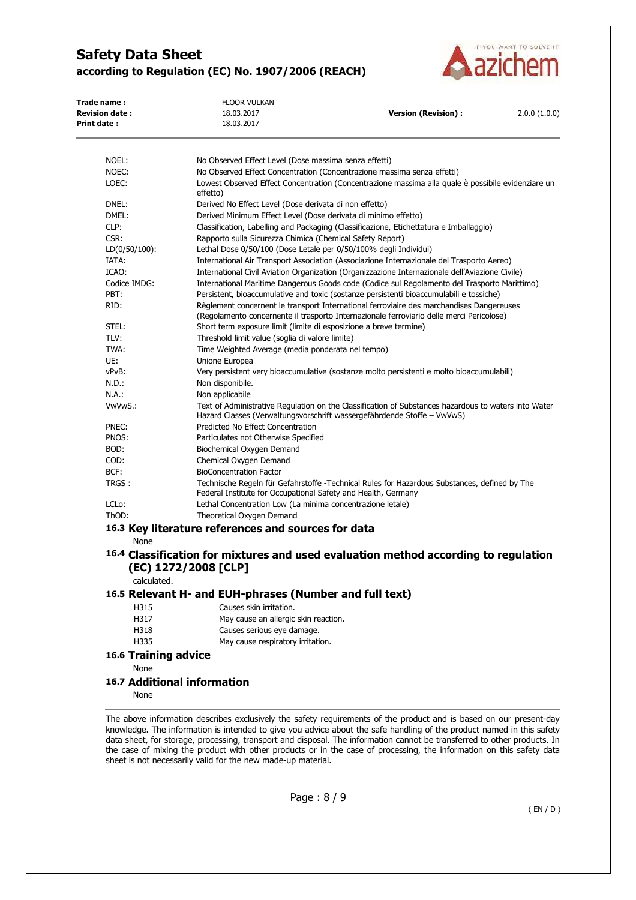

| 18.03.2017<br>No Observed Effect Level (Dose massima senza effetti)<br>effetto)<br>Derived No Effect Level (Dose derivata di non effetto)<br>Derived Minimum Effect Level (Dose derivata di minimo effetto)<br>Rapporto sulla Sicurezza Chimica (Chemical Safety Report)<br>Lethal Dose 0/50/100 (Dose Letale per 0/50/100% degli Individui) | No Observed Effect Concentration (Concentrazione massima senza effetti)<br>Lowest Observed Effect Concentration (Concentrazione massima alla quale è possibile evidenziare un<br>Classification, Labelling and Packaging (Classificazione, Etichettatura e Imballaggio)<br>International Air Transport Association (Associazione Internazionale del Trasporto Aereo) |                                                                                                                                                                                                                                                                                                                                                                                                                                                                                                                                                                                                                                                                                                      |
|----------------------------------------------------------------------------------------------------------------------------------------------------------------------------------------------------------------------------------------------------------------------------------------------------------------------------------------------|----------------------------------------------------------------------------------------------------------------------------------------------------------------------------------------------------------------------------------------------------------------------------------------------------------------------------------------------------------------------|------------------------------------------------------------------------------------------------------------------------------------------------------------------------------------------------------------------------------------------------------------------------------------------------------------------------------------------------------------------------------------------------------------------------------------------------------------------------------------------------------------------------------------------------------------------------------------------------------------------------------------------------------------------------------------------------------|
|                                                                                                                                                                                                                                                                                                                                              |                                                                                                                                                                                                                                                                                                                                                                      |                                                                                                                                                                                                                                                                                                                                                                                                                                                                                                                                                                                                                                                                                                      |
|                                                                                                                                                                                                                                                                                                                                              |                                                                                                                                                                                                                                                                                                                                                                      |                                                                                                                                                                                                                                                                                                                                                                                                                                                                                                                                                                                                                                                                                                      |
|                                                                                                                                                                                                                                                                                                                                              |                                                                                                                                                                                                                                                                                                                                                                      |                                                                                                                                                                                                                                                                                                                                                                                                                                                                                                                                                                                                                                                                                                      |
|                                                                                                                                                                                                                                                                                                                                              |                                                                                                                                                                                                                                                                                                                                                                      |                                                                                                                                                                                                                                                                                                                                                                                                                                                                                                                                                                                                                                                                                                      |
|                                                                                                                                                                                                                                                                                                                                              |                                                                                                                                                                                                                                                                                                                                                                      |                                                                                                                                                                                                                                                                                                                                                                                                                                                                                                                                                                                                                                                                                                      |
|                                                                                                                                                                                                                                                                                                                                              |                                                                                                                                                                                                                                                                                                                                                                      |                                                                                                                                                                                                                                                                                                                                                                                                                                                                                                                                                                                                                                                                                                      |
|                                                                                                                                                                                                                                                                                                                                              |                                                                                                                                                                                                                                                                                                                                                                      |                                                                                                                                                                                                                                                                                                                                                                                                                                                                                                                                                                                                                                                                                                      |
|                                                                                                                                                                                                                                                                                                                                              |                                                                                                                                                                                                                                                                                                                                                                      |                                                                                                                                                                                                                                                                                                                                                                                                                                                                                                                                                                                                                                                                                                      |
|                                                                                                                                                                                                                                                                                                                                              |                                                                                                                                                                                                                                                                                                                                                                      |                                                                                                                                                                                                                                                                                                                                                                                                                                                                                                                                                                                                                                                                                                      |
|                                                                                                                                                                                                                                                                                                                                              |                                                                                                                                                                                                                                                                                                                                                                      |                                                                                                                                                                                                                                                                                                                                                                                                                                                                                                                                                                                                                                                                                                      |
|                                                                                                                                                                                                                                                                                                                                              | International Civil Aviation Organization (Organizzazione Internazionale dell'Aviazione Civile)                                                                                                                                                                                                                                                                      |                                                                                                                                                                                                                                                                                                                                                                                                                                                                                                                                                                                                                                                                                                      |
|                                                                                                                                                                                                                                                                                                                                              | International Maritime Dangerous Goods code (Codice sul Regolamento del Trasporto Marittimo)                                                                                                                                                                                                                                                                         |                                                                                                                                                                                                                                                                                                                                                                                                                                                                                                                                                                                                                                                                                                      |
|                                                                                                                                                                                                                                                                                                                                              | Persistent, bioaccumulative and toxic (sostanze persistenti bioaccumulabili e tossiche)                                                                                                                                                                                                                                                                              |                                                                                                                                                                                                                                                                                                                                                                                                                                                                                                                                                                                                                                                                                                      |
|                                                                                                                                                                                                                                                                                                                                              | Règlement concernent le transport International ferroviaire des marchandises Dangereuses<br>(Regolamento concernente il trasporto Internazionale ferroviario delle merci Pericolose)                                                                                                                                                                                 |                                                                                                                                                                                                                                                                                                                                                                                                                                                                                                                                                                                                                                                                                                      |
| Short term exposure limit (limite di esposizione a breve termine)                                                                                                                                                                                                                                                                            |                                                                                                                                                                                                                                                                                                                                                                      |                                                                                                                                                                                                                                                                                                                                                                                                                                                                                                                                                                                                                                                                                                      |
| Threshold limit value (soglia di valore limite)                                                                                                                                                                                                                                                                                              |                                                                                                                                                                                                                                                                                                                                                                      |                                                                                                                                                                                                                                                                                                                                                                                                                                                                                                                                                                                                                                                                                                      |
| Time Weighted Average (media ponderata nel tempo)                                                                                                                                                                                                                                                                                            |                                                                                                                                                                                                                                                                                                                                                                      |                                                                                                                                                                                                                                                                                                                                                                                                                                                                                                                                                                                                                                                                                                      |
| Unione Europea                                                                                                                                                                                                                                                                                                                               |                                                                                                                                                                                                                                                                                                                                                                      |                                                                                                                                                                                                                                                                                                                                                                                                                                                                                                                                                                                                                                                                                                      |
|                                                                                                                                                                                                                                                                                                                                              | Very persistent very bioaccumulative (sostanze molto persistenti e molto bioaccumulabili)                                                                                                                                                                                                                                                                            |                                                                                                                                                                                                                                                                                                                                                                                                                                                                                                                                                                                                                                                                                                      |
| Non disponibile.                                                                                                                                                                                                                                                                                                                             |                                                                                                                                                                                                                                                                                                                                                                      |                                                                                                                                                                                                                                                                                                                                                                                                                                                                                                                                                                                                                                                                                                      |
| Non applicabile                                                                                                                                                                                                                                                                                                                              |                                                                                                                                                                                                                                                                                                                                                                      |                                                                                                                                                                                                                                                                                                                                                                                                                                                                                                                                                                                                                                                                                                      |
|                                                                                                                                                                                                                                                                                                                                              |                                                                                                                                                                                                                                                                                                                                                                      |                                                                                                                                                                                                                                                                                                                                                                                                                                                                                                                                                                                                                                                                                                      |
| Predicted No Effect Concentration                                                                                                                                                                                                                                                                                                            |                                                                                                                                                                                                                                                                                                                                                                      |                                                                                                                                                                                                                                                                                                                                                                                                                                                                                                                                                                                                                                                                                                      |
|                                                                                                                                                                                                                                                                                                                                              |                                                                                                                                                                                                                                                                                                                                                                      |                                                                                                                                                                                                                                                                                                                                                                                                                                                                                                                                                                                                                                                                                                      |
| Biochemical Oxygen Demand                                                                                                                                                                                                                                                                                                                    |                                                                                                                                                                                                                                                                                                                                                                      |                                                                                                                                                                                                                                                                                                                                                                                                                                                                                                                                                                                                                                                                                                      |
| Chemical Oxygen Demand                                                                                                                                                                                                                                                                                                                       |                                                                                                                                                                                                                                                                                                                                                                      |                                                                                                                                                                                                                                                                                                                                                                                                                                                                                                                                                                                                                                                                                                      |
| <b>BioConcentration Factor</b>                                                                                                                                                                                                                                                                                                               |                                                                                                                                                                                                                                                                                                                                                                      |                                                                                                                                                                                                                                                                                                                                                                                                                                                                                                                                                                                                                                                                                                      |
|                                                                                                                                                                                                                                                                                                                                              |                                                                                                                                                                                                                                                                                                                                                                      |                                                                                                                                                                                                                                                                                                                                                                                                                                                                                                                                                                                                                                                                                                      |
|                                                                                                                                                                                                                                                                                                                                              |                                                                                                                                                                                                                                                                                                                                                                      |                                                                                                                                                                                                                                                                                                                                                                                                                                                                                                                                                                                                                                                                                                      |
| Theoretical Oxygen Demand                                                                                                                                                                                                                                                                                                                    |                                                                                                                                                                                                                                                                                                                                                                      |                                                                                                                                                                                                                                                                                                                                                                                                                                                                                                                                                                                                                                                                                                      |
|                                                                                                                                                                                                                                                                                                                                              |                                                                                                                                                                                                                                                                                                                                                                      |                                                                                                                                                                                                                                                                                                                                                                                                                                                                                                                                                                                                                                                                                                      |
|                                                                                                                                                                                                                                                                                                                                              |                                                                                                                                                                                                                                                                                                                                                                      |                                                                                                                                                                                                                                                                                                                                                                                                                                                                                                                                                                                                                                                                                                      |
|                                                                                                                                                                                                                                                                                                                                              |                                                                                                                                                                                                                                                                                                                                                                      |                                                                                                                                                                                                                                                                                                                                                                                                                                                                                                                                                                                                                                                                                                      |
| (EC) 1272/2008 [CLP]                                                                                                                                                                                                                                                                                                                         |                                                                                                                                                                                                                                                                                                                                                                      |                                                                                                                                                                                                                                                                                                                                                                                                                                                                                                                                                                                                                                                                                                      |
|                                                                                                                                                                                                                                                                                                                                              |                                                                                                                                                                                                                                                                                                                                                                      |                                                                                                                                                                                                                                                                                                                                                                                                                                                                                                                                                                                                                                                                                                      |
|                                                                                                                                                                                                                                                                                                                                              |                                                                                                                                                                                                                                                                                                                                                                      |                                                                                                                                                                                                                                                                                                                                                                                                                                                                                                                                                                                                                                                                                                      |
| Causes skin irritation.                                                                                                                                                                                                                                                                                                                      |                                                                                                                                                                                                                                                                                                                                                                      |                                                                                                                                                                                                                                                                                                                                                                                                                                                                                                                                                                                                                                                                                                      |
|                                                                                                                                                                                                                                                                                                                                              |                                                                                                                                                                                                                                                                                                                                                                      |                                                                                                                                                                                                                                                                                                                                                                                                                                                                                                                                                                                                                                                                                                      |
| Causes serious eye damage.                                                                                                                                                                                                                                                                                                                   |                                                                                                                                                                                                                                                                                                                                                                      |                                                                                                                                                                                                                                                                                                                                                                                                                                                                                                                                                                                                                                                                                                      |
|                                                                                                                                                                                                                                                                                                                                              |                                                                                                                                                                                                                                                                                                                                                                      |                                                                                                                                                                                                                                                                                                                                                                                                                                                                                                                                                                                                                                                                                                      |
|                                                                                                                                                                                                                                                                                                                                              |                                                                                                                                                                                                                                                                                                                                                                      |                                                                                                                                                                                                                                                                                                                                                                                                                                                                                                                                                                                                                                                                                                      |
|                                                                                                                                                                                                                                                                                                                                              |                                                                                                                                                                                                                                                                                                                                                                      |                                                                                                                                                                                                                                                                                                                                                                                                                                                                                                                                                                                                                                                                                                      |
| <b>16.7 Additional information</b>                                                                                                                                                                                                                                                                                                           |                                                                                                                                                                                                                                                                                                                                                                      |                                                                                                                                                                                                                                                                                                                                                                                                                                                                                                                                                                                                                                                                                                      |
|                                                                                                                                                                                                                                                                                                                                              | Particulates not Otherwise Specified<br>16.6 Training advice                                                                                                                                                                                                                                                                                                         | Text of Administrative Regulation on the Classification of Substances hazardous to waters into Water<br>Hazard Classes (Verwaltungsvorschrift wassergefährdende Stoffe – VwVwS)<br>Technische Regeln für Gefahrstoffe -Technical Rules for Hazardous Substances, defined by The<br>Federal Institute for Occupational Safety and Health, Germany<br>Lethal Concentration Low (La minima concentrazione letale)<br>16.3 Key literature references and sources for data<br>16.4 Classification for mixtures and used evaluation method according to regulation<br>16.5 Relevant H- and EUH-phrases (Number and full text)<br>May cause an allergic skin reaction.<br>May cause respiratory irritation. |

None

The above information describes exclusively the safety requirements of the product and is based on our present-day knowledge. The information is intended to give you advice about the safe handling of the product named in this safety data sheet, for storage, processing, transport and disposal. The information cannot be transferred to other products. In the case of mixing the product with other products or in the case of processing, the information on this safety data sheet is not necessarily valid for the new made-up material.